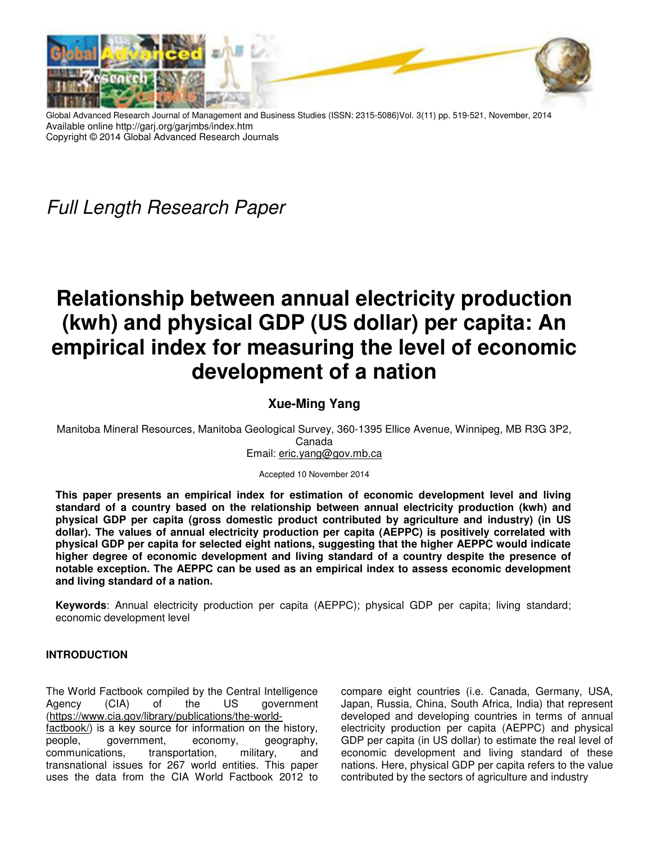

Global Advanced Research Journal of Management and Business Studies (ISSN: 2315-5086)Vol. 3(11) pp. 519-521, November, 2014 Available online http://garj.org/garjmbs/index.htm Copyright © 2014 Global Advanced Research Journals

Full Length Research Paper

# **Relationship between annual electricity production (kwh) and physical GDP (US dollar) per capita: An empirical index for measuring the level of economic development of a nation**

## **Xue-Ming Yang**

Manitoba Mineral Resources, Manitoba Geological Survey, 360-1395 Ellice Avenue, Winnipeg, MB R3G 3P2,

Canada

Email: eric.yang@gov.mb.ca

Accepted 10 November 2014

**This paper presents an empirical index for estimation of economic development level and living standard of a country based on the relationship between annual electricity production (kwh) and physical GDP per capita (gross domestic product contributed by agriculture and industry) (in US dollar). The values of annual electricity production per capita (AEPPC) is positively correlated with physical GDP per capita for selected eight nations, suggesting that the higher AEPPC would indicate higher degree of economic development and living standard of a country despite the presence of notable exception. The AEPPC can be used as an empirical index to assess economic development and living standard of a nation.** 

**Keywords**: Annual electricity production per capita (AEPPC); physical GDP per capita; living standard; economic development level

### **INTRODUCTION**

The World Factbook compiled by the Central Intelligence Agency (CIA) of the US government (https://www.cia.gov/library/publications/the-world-

factbook/) is a key source for information on the history, people, government, economy, geography, communications, transportation, military, and transnational issues for 267 world entities. This paper uses the data from the CIA World Factbook 2012 to

compare eight countries (i.e. Canada, Germany, USA, Japan, Russia, China, South Africa, India) that represent developed and developing countries in terms of annual electricity production per capita (AEPPC) and physical GDP per capita (in US dollar) to estimate the real level of economic development and living standard of these nations. Here, physical GDP per capita refers to the value contributed by the sectors of agriculture and industry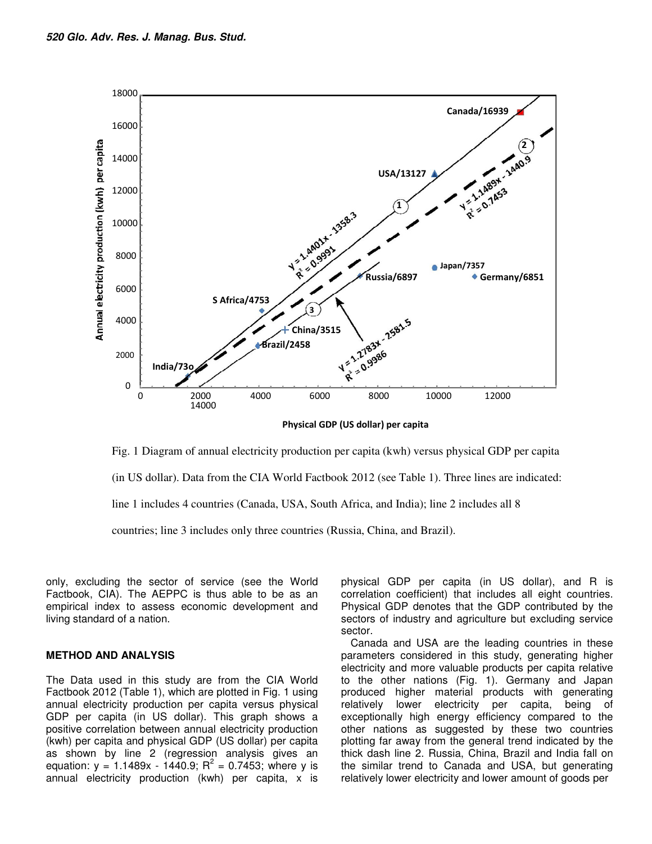

**Physical GDP (US dollar) per capita**

Fig. 1 Diagram of annual electricity production per capita (kwh) versus physical GDP per capita

(in US dollar). Data from the CIA World Factbook 2012 (see Table 1). Three lines are indicated:

line 1 includes 4 countries (Canada, USA, South Africa, and India); line 2 includes all 8

countries; line 3 includes only three countries (Russia, China, and Brazil).

only, excluding the sector of service (see the World Factbook, CIA). The AEPPC is thus able to be as an empirical index to assess economic development and living standard of a nation.

#### **METHOD AND ANALYSIS**

The Data used in this study are from the CIA World Factbook 2012 (Table 1), which are plotted in Fig. 1 using annual electricity production per capita versus physical GDP per capita (in US dollar). This graph shows a positive correlation between annual electricity production (kwh) per capita and physical GDP (US dollar) per capita as shown by line 2 (regression analysis gives an equation:  $y = 1.1489x - 1440.9$ ;  $R^2 = 0.7453$ ; where y is annual electricity production (kwh) per capita, x is

physical GDP per capita (in US dollar), and R is correlation coefficient) that includes all eight countries. Physical GDP denotes that the GDP contributed by the sectors of industry and agriculture but excluding service sector.

Canada and USA are the leading countries in these parameters considered in this study, generating higher electricity and more valuable products per capita relative to the other nations (Fig. 1). Germany and Japan produced higher material products with generating relatively lower electricity per capita, being of exceptionally high energy efficiency compared to the other nations as suggested by these two countries plotting far away from the general trend indicated by the thick dash line 2. Russia, China, Brazil and India fall on the similar trend to Canada and USA, but generating relatively lower electricity and lower amount of goods per